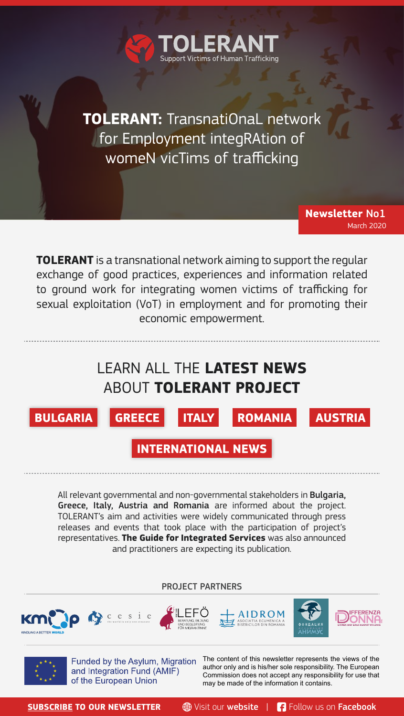**TOLERANT:** TransnatiOnaL network for Employment integRAtion of womeN vicTims of trafficking

Victims of Human Trafficking

**TOLERANT** is a transnational network aiming to support the regular exchange of good practices, experiences and information related to ground work for integrating women victims of trafficking for sexual exploitation (VoT) in employment and for promoting their economic empowerment.

# LEARN ALL THE **LATEST NEWS**  ABOUT **TOLERANT PROJECT**



**Newsletter** No1

March 2020

**INTERNATIONAL NEWS**<br> **INTERNATIONAL NEWS** 

All relevant governmental and non-governmental stakeholders in Bulgaria, Greece, Italy, Austria and Romania are informed about the project. TOLERANT's aim and activities were widely communicated through press releases and events that took place with the participation of project's representatives. **The Guide for Integrated Services** was also announced and practitioners are expecting its publication.

### PROJECT PARTNERS











Funded by the Asylum, Migration and Integration Fund (AMIF) of the European Union

The content of this newsletter represents the views of the author only and is his/her sole responsibility. The European Commission does not accept any responsibility for use that may be made of the information it contains.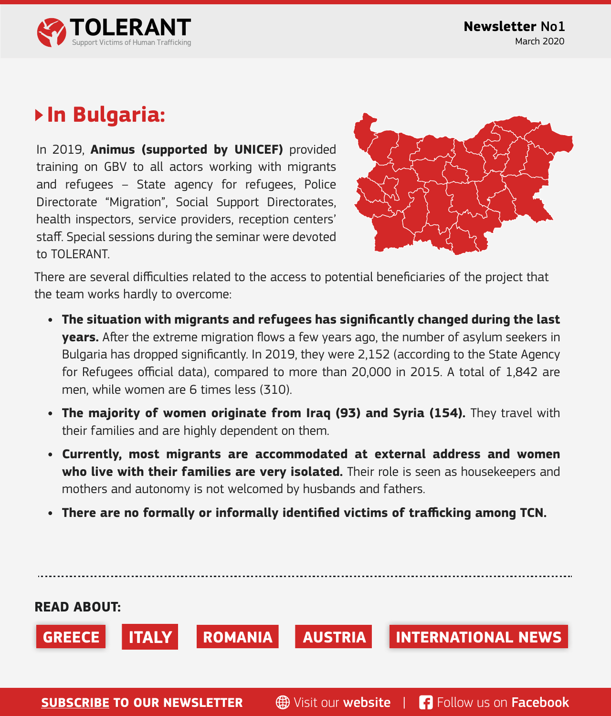

## **In Bulgaria:**

In 2019, **Animus (supported by UNICEF)** provided training on GBV to all actors working with migrants and refugees – State agency for refugees, Police Directorate "Migration", Social Support Directorates, health inspectors, service providers, reception centers' staff. Special sessions during the seminar were devoted to TOI FRANT



There are several difficulties related to the access to potential beneficiaries of the project that the team works hardly to overcome:

- **• The situation with migrants and refugees has significantly changed during the last years.** After the extreme migration flows a few years ago, the number of asylum seekers in Bulgaria has dropped significantly. In 2019, they were 2,152 (according to the State Agency for Refugees official data), compared to more than 20,000 in 2015. A total of 1,842 are men, while women are 6 times less (310).
- **• The majority of women originate from Iraq (93) and Syria (154).** They travel with their families and are highly dependent on them.
- **• Currently, most migrants are accommodated at external address and women who live with their families are very isolated.** Their role is seen as housekeepers and mothers and autonomy is not welcomed by husbands and fathers.
- **• There are no formally or informally identified victims of trafficking among TCN.**

**[SUBSCRIBE](http://www.tolerantnetwork.com/subscribe/) TO OUR NEWSLETTER 49 Visit our [website](http://www.tolerantnetwork.com) | [Follow us on](https://www.facebook.com/tolerantproject) Facebook READ ABOUT: GREECE ITALY ROMANIA AUSTRIA INTERNATIONAL NEWS**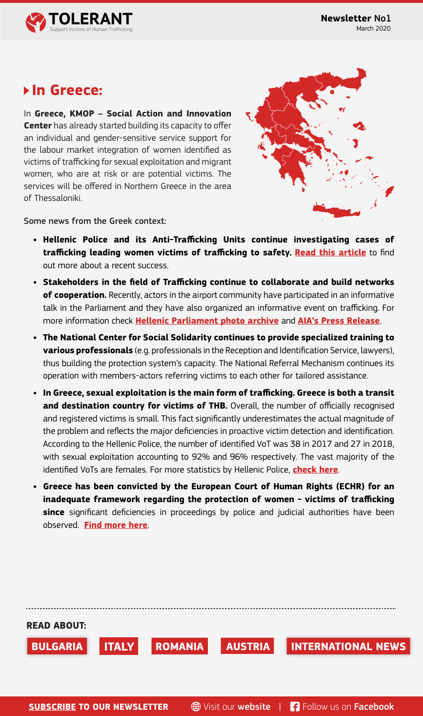

## **In Greece:**

In **Greece, KMOP – Social Action and Innovation Center** has already started building its capacity to offer an individual and gender-sensitive service support for the labour market integration of women identified as victims of trafficking for sexual exploitation and migrant women, who are at risk or are potential victims. The services will be offered in Northern Greece in the area of Thessaloniki.



Some news from the Greek context:

- **• Hellenic Police and its Anti-Trafficking Units continue investigating cases of trafficking leading women victims of trafficking to safety. [Read this article](https://insidestory.gr/article/martyries-gynaikes-moldavia-thymata-trafficking-ellada?fbclid=IwAR3qfe2fJ2XgBkFveFpjFsSTZnP9S0ZeLISC3FxmQphK3E9A0WFE1jNB5Io
)** to find out more about a recent success.
- **• Stakeholders in the field of Trafficking continue to collaborate and build networks of cooperation.** Recently, actors in the airport community have participated in an informative talk in the Parliament and they have also organized an informative event on trafficking. For more information check **[Hellenic Parliament photo archive](https://www.hellenicparliament.gr/Vouli-ton-Ellinon/ToKtirio/Fotografiko-Archeio/#2479b9f1-6d31-4043-8720-ab2600ac6e94)** and **[AIA's Press Release](https://www.aia.gr/el/company-and-business/press-and-Media/press-office/press-releases/hmerida-gia-thn-prolhpsh-kai-katapolemhsh-emporias-an8rwpwn-apo-thn-aerodromiakh-koinothta-ths-a8hnas)**.
- **• The National Center for Social Solidarity continues to provide specialized training to various professionals** (e.g. professionals in the Reception and Identification Service, lawyers), thus building the protection system's capacity. The National Referral Mechanism continues its operation with members-actors referring victims to each other for tailored assistance.
- **• In Greece, sexual exploitation is the main form of trafficking. Greece is both a transit and destination country for victims of THB.** Overall, the number of officially recognised and registered victims is small. This fact significantly underestimates the actual magnitude of the problem and reflects the major deficiencies in proactive victim detection and identification. According to the Hellenic Police, the number of identified VoT was 38 in 2017 and 27 in 2018, with sexual exploitation accounting to 92% and 96% respectively. The vast majority of the identified VoTs are females. For more statistics by Hellenic Police, **[check here](http://www.astynomia.gr/index.php?option=ozo_content&perform=view&id=82074&Itemid=73&lang=
)**.
- **• Greece has been convicted by the European Court of Human Rights (ECHR) for an inadequate framework regarding the protection of women - victims of trafficking since** significant deficiencies in proceedings by police and judicial authorities have been observed. **[Find more here](https://www.lawspot.gr/nomika-nea/trafficking-katadiki-tis-elladas-gia-aneparkes-plaisio-prostasias-gynaikon-thymaton)**.

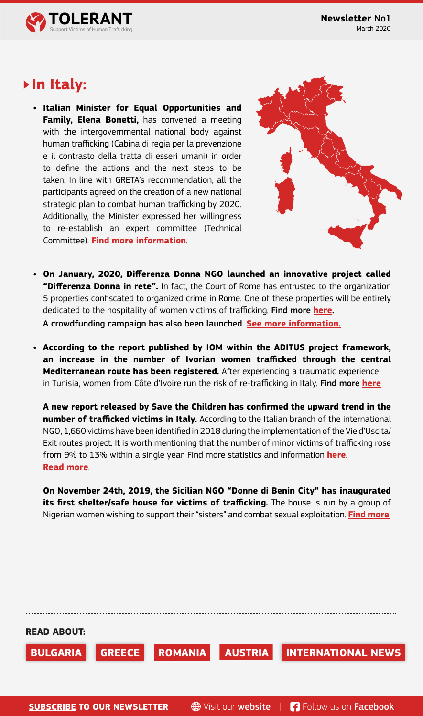

## **In Italy:**

**• Italian Minister for Equal Opportunities and Family, Elena Bonetti,** has convened a meeting with the intergovernmental national body against human trafficking (Cabina di regia per la prevenzione e il contrasto della tratta di esseri umani) in order to define the actions and the next steps to be taken. In line with GRETA's recommendation, all the participants agreed on the creation of a new national strategic plan to combat human trafficking by 2020. Additionally, the Minister expressed her willingness to re-establish an expert committee (Technical Committee). **[Find more information](http://www.pariopportunita.gov.it/news/tratta-esseri-umani-bonetti-convoca-cabina-di-regia-piano-strategico-entro-2020-e-comitato-tecnico/)**.



**• On January, 2020, Differenza Donna NGO launched an innovative project called "Differenza Donna in rete".** In fact, the Court of Rome has entrusted to the organization 5 properties confiscated to organized crime in Rome. One of these properties will be entirely dedicated to the hospitality of women victims of trafficking. Find more **[here](https://www.ilmessaggero.it/mind_the_gap/violenza_donne_case_confiscate_criminalita_cinque_immobili_roma-5000267.html).**

A crowdfunding campaign has also been launched. **[See more information.](https://www.produzionidalbasso.com/project/la-casa-di-differenza-donna/)**

**• According to the report published by IOM within the ADITUS project framework, an increase in the number of Ivorian women trafficked through the central Mediterranean route has been registered.** After experiencing a traumatic experience in Tunisia, women from Côte d'Ivoire run the risk of re-trafficking in Italy. Find more **[here](https://italy.iom.int/sites/default/files/newsdocuments/IOM_Briefing_Victims_of_Trafficking.pdf;  See also: https://www.iom.int/news/combatting-trafficking-persons-focus-cote-divoire-tunisia-bilateral-co-operation)**

**A new report released by Save the Children has confirmed the upward trend in the number of trafficked victims in Italy.** According to the Italian branch of the international NGO, 1,660 victims have been identified in 2018 during the implementation of the Vie d'Uscita/ Exit routes project. It is worth mentioning that the number of minor victims of trafficking rose from 9% to 13% within a single year. Find more statistics and information **[here](https://www.infomigrants.net/en/post/18450/1-660-trafficking-victims-in-italy-says-save-the-childre;)**. **Read [more](https://www.savethechildren.net/news/one-four-victims-trafficking-and-exploitation-europe-are-children)**.

**On November 24th, 2019, the Sicilian NGO "Donne di Benin City" has inaugurated its first shelter/safe house for victims of trafficking.** The house is run by a group of Nigerian women wishing to support their "sisters" and combat sexual exploitation. **[Find more](https://www.ilsicilia.it/lassociazione-donne-di-benin-city-inaugura-una-casa-daccoglienza-a-san-giuseppe-jato/)**.

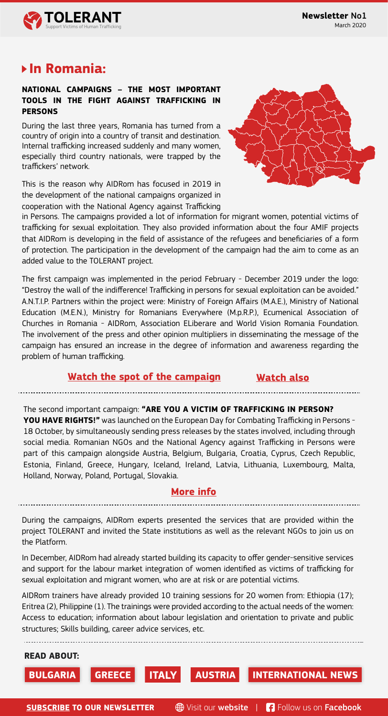

## **In Romania:**

#### **NATIONAL CAMPAIGNS – THE MOST IMPORTANT TOOLS IN THE FIGHT AGAINST TRAFFICKING IN PERSONS**

During the last three years, Romania has turned from a country of origin into a country of transit and destination. Internal trafficking increased suddenly and many women, especially third country nationals, were trapped by the traffickers' network.

This is the reason why AIDRom has focused in 2019 in the development of the national campaigns organized in cooperation with the National Agency against Trafficking



in Persons. The campaigns provided a lot of information for migrant women, potential victims of trafficking for sexual exploitation. They also provided information about the four AMIF projects that AIDRom is developing in the field of assistance of the refugees and beneficiaries of a form of protection. The participation in the development of the campaign had the aim to come as an added value to the TOLERANT project.

The first campaign was implemented in the period February - December 2019 under the logo: "Destroy the wall of the indifference! Trafficking in persons for sexual exploitation can be avoided." A.N.T.I.P. Partners within the project were: Ministry of Foreign Affairs (M.A.E.), Ministry of National Education (M.E.N.), Ministry for Romanians Everywhere (M.p.R.P.), Ecumenical Association of Churches in Romania - AIDRom, Association ELiberare and World Vision Romania Foundation. The involvement of the press and other opinion multipliers in disseminating the message of the campaign has ensured an increase in the degree of information and awareness regarding the problem of human trafficking.

#### **[Watch the spot of the campaign](https://www.youtube.com/watch?v=Vu7B_o-hCFk) [Watch also](https://www.youtube.com/watch?v=IAXPZpabjf0&t=1s)**

The second important campaign: **"ARE YOU A VICTIM OF TRAFFICKING IN PERSON? YOU HAVE RIGHTS!"** was launched on the European Day for Combating Trafficking in Persons - 18 October, by simultaneously sending press releases by the states involved, including through social media. Romanian NGOs and the National Agency against Trafficking in Persons were part of this campaign alongside Austria, Belgium, Bulgaria, Croatia, Cyprus, Czech Republic, Estonia, Finland, Greece, Hungary, Iceland, Ireland, Latvia, Lithuania, Luxembourg, Malta, Holland, Norway, Poland, Portugal, Slovakia.

#### **[More info](https://fil.email/yG9VYFGN)**

During the campaigns, AIDRom experts presented the services that are provided within the project TOLERANT and invited the State institutions as well as the relevant NGOs to join us on the Platform.

In December, AIDRom had already started building its capacity to offer gender-sensitive services and support for the labour market integration of women identified as victims of trafficking for sexual exploitation and migrant women, who are at risk or are potential victims.

AIDRom trainers have already provided 10 training sessions for 20 women from: Ethiopia (17); Eritrea (2), Philippine (1). The trainings were provided according to the actual needs of the women: Access to education; information about labour legislation and orientation to private and public structures; Skills building, career advice services, etc.



**[SUBSCRIBE](http://www.tolerantnetwork.com/subscribe/) TO OUR NEWSLETTER**  $\oplus$  Visit our [website](http://www.tolerantnetwork.com) | [Follow us on](https://www.facebook.com/tolerantproject) Facebook

**READ ABOUT:**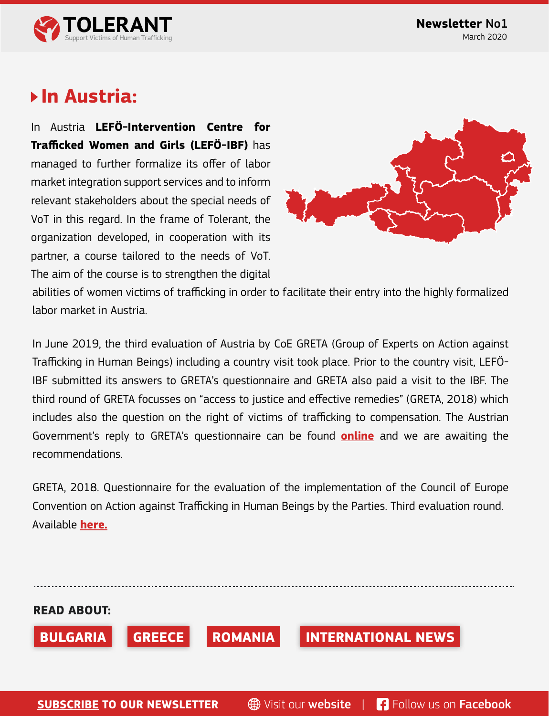

## **In Austria:**

In Austria **LEFÖ-Intervention Centre for Trafficked Women and Girls (LEFÖ-IBF)** has managed to further formalize its offer of labor market integration support services and to inform relevant stakeholders about the special needs of VoT in this regard. In the frame of Tolerant, the organization developed, in cooperation with its partner, a course tailored to the needs of VoT. The aim of the course is to strengthen the digital



abilities of women victims of trafficking in order to facilitate their entry into the highly formalized labor market in Austria.

In June 2019, the third evaluation of Austria by CoE GRETA (Group of Experts on Action against Trafficking in Human Beings) including a country visit took place. Prior to the country visit, LEFÖ-IBF submitted its answers to GRETA's questionnaire and GRETA also paid a visit to the IBF. The third round of GRETA focusses on "access to justice and effective remedies" (GRETA, 2018) which includes also the question on the right of victims of trafficking to compensation. The Austrian Government's reply to GRETA's questionnaire can be found **[online](https://rm.coe.int/greta-2018-26-aut/168094b570)** and we are awaiting the recommendations.

GRETA, 2018. Questionnaire for the evaluation of the implementation of the Council of Europe Convention on Action against Trafficking in Human Beings by the Parties. Third evaluation round. Available **[here.](https://rm.coe.int/greta-2018-26-en/16808f0990)**

**READ ABOUT: BULGARIA GREECE ROMANIA INTERNATIONAL NEWS**